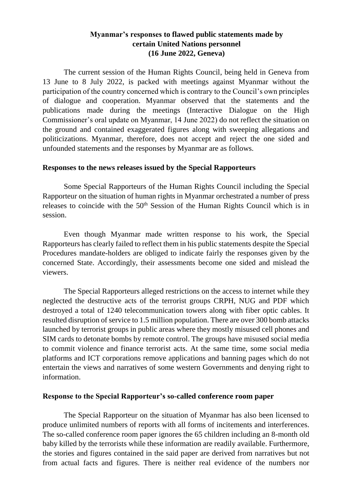## **Myanmar's responses to flawed public statements made by certain United Nations personnel (16 June 2022, Geneva)**

The current session of the Human Rights Council, being held in Geneva from 13 June to 8 July 2022, is packed with meetings against Myanmar without the participation of the country concerned which is contrary to the Council's own principles of dialogue and cooperation. Myanmar observed that the statements and the publications made during the meetings (Interactive Dialogue on the High Commissioner's oral update on Myanmar, 14 June 2022) do not reflect the situation on the ground and contained exaggerated figures along with sweeping allegations and politicizations. Myanmar, therefore, does not accept and reject the one sided and unfounded statements and the responses by Myanmar are as follows.

## **Responses to the news releases issued by the Special Rapporteurs**

Some Special Rapporteurs of the Human Rights Council including the Special Rapporteur on the situation of human rights in Myanmar orchestrated a number of press releases to coincide with the  $50<sup>th</sup>$  Session of the Human Rights Council which is in session.

Even though Myanmar made written response to his work, the Special Rapporteurs has clearly failed to reflect them in his public statements despite the Special Procedures mandate-holders are obliged to indicate fairly the responses given by the concerned State. Accordingly, their assessments become one sided and mislead the viewers.

The Special Rapporteurs alleged restrictions on the access to internet while they neglected the destructive acts of the terrorist groups CRPH, NUG and PDF which destroyed a total of 1240 telecommunication towers along with fiber optic cables. It resulted disruption of service to 1.5 million population. There are over 300 bomb attacks launched by terrorist groups in public areas where they mostly misused cell phones and SIM cards to detonate bombs by remote control. The groups have misused social media to commit violence and finance terrorist acts. At the same time, some social media platforms and ICT corporations remove applications and banning pages which do not entertain the views and narratives of some western Governments and denying right to information.

## **Response to the Special Rapporteur's so-called conference room paper**

The Special Rapporteur on the situation of Myanmar has also been licensed to produce unlimited numbers of reports with all forms of incitements and interferences. The so-called conference room paper ignores the 65 children including an 8-month old baby killed by the terrorists while these information are readily available. Furthermore, the stories and figures contained in the said paper are derived from narratives but not from actual facts and figures. There is neither real evidence of the numbers nor